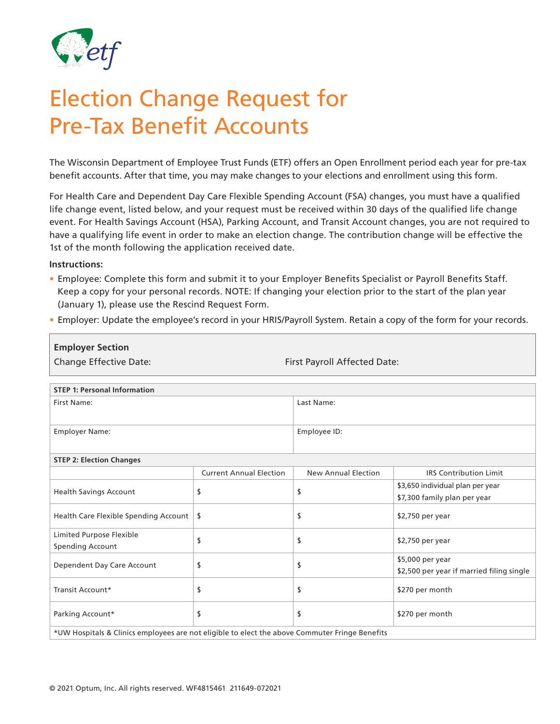

## Election Change Request for Pre-Tax Benefit Accounts

The Wisconsin Department of Employee Trust Funds (ETF) offers an Open Enrollment period each year for pre-tax benefit accounts. After that time, you may make changes to your elections and enrollment using this form.

For Health Care and Dependent Day Care Flexible Spending Account (FSA) changes, you must have a qualified life change event, listed below, and your request must be received within 30 days of the qualified life change event. For Health Savings Account (HSA), Parking Account, and Transit Account changes, you are not required to have a qualifying life event in order to make an election change. The contribution change will be effective the 1st of the month following the application received date.

## **Instructions:**

- Employee: Complete this form and submit it to your Employer Benefits Specialist or Payroll Benefits Staff. Keep a copy for your personal records. NOTE: If changing your election prior to the start of the plan year (January 1), please use the Rescind Request Form.
- Employer: Update the employee's record in your HRIS/Payroll System. Retain a copy of the form for your records.

| <b>Employer Section</b>                                                                        |                                |                              |                                                                  |  |
|------------------------------------------------------------------------------------------------|--------------------------------|------------------------------|------------------------------------------------------------------|--|
| <b>Change Effective Date:</b>                                                                  |                                | First Payroll Affected Date: |                                                                  |  |
|                                                                                                |                                |                              |                                                                  |  |
| <b>STEP 1: Personal Information</b>                                                            |                                |                              |                                                                  |  |
| First Name:                                                                                    |                                | Last Name:                   |                                                                  |  |
| <b>Employer Name:</b>                                                                          |                                | Employee ID:                 |                                                                  |  |
| <b>STEP 2: Election Changes</b>                                                                |                                |                              |                                                                  |  |
|                                                                                                | <b>Current Annual Election</b> | New Annual Election          | <b>IRS Contribution Limit</b>                                    |  |
| <b>Health Savings Account</b>                                                                  | \$                             | \$                           | \$3,650 individual plan per year<br>\$7,300 family plan per year |  |
| Health Care Flexible Spending Account                                                          | \$                             | \$                           | \$2,750 per year                                                 |  |
| Limited Purpose Flexible<br><b>Spending Account</b>                                            | \$                             | \$                           | $$2,750$ per year                                                |  |
| Dependent Day Care Account                                                                     | \$                             | \$                           | \$5,000 per year<br>\$2,500 per year if married filing single    |  |
| Transit Account*                                                                               | \$                             | \$                           | \$270 per month                                                  |  |
| Parking Account*                                                                               | \$                             | \$                           | \$270 per month                                                  |  |
| *UW Hospitals & Clinics employees are not eligible to elect the above Commuter Fringe Benefits |                                |                              |                                                                  |  |